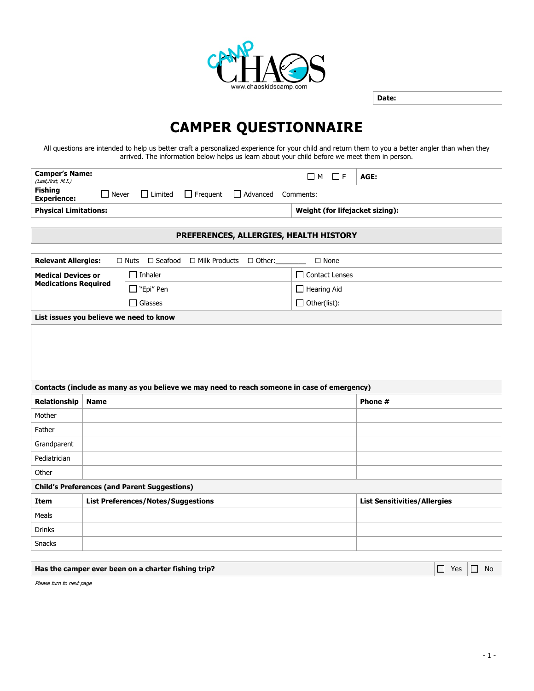

**Date:**

## **CAMPER QUESTIONNAIRE**

All questions are intended to help us better craft a personalized experience for your child and return them to you a better angler than when they arrived. The information below helps us learn about your child before we meet them in person.

| <b>Camper's Name:</b><br>(Last,first, M.I.) |           |           |  |                                           | $\Box$ M $\Box$ f               | AGE: |  |
|---------------------------------------------|-----------|-----------|--|-------------------------------------------|---------------------------------|------|--|
| Fishing<br><b>Experience:</b>               | . I Never | L Limited |  | $\Box$ Frequent $\Box$ Advanced Comments: |                                 |      |  |
| <b>Physical Limitations:</b>                |           |           |  |                                           | Weight (for lifejacket sizing): |      |  |

## **PREFERENCES, ALLERGIES, HEALTH HISTORY**

| <b>Relevant Allergies:</b>                                                                  |             | $\Box$ Seafood $\Box$ Milk Products $\Box$ Other:<br>$\Box$ Nuts | $\square$ None      |                                     |  |
|---------------------------------------------------------------------------------------------|-------------|------------------------------------------------------------------|---------------------|-------------------------------------|--|
| <b>Medical Devices or</b><br><b>Medications Required</b>                                    |             | $\Box$ Inhaler                                                   | □ Contact Lenses    |                                     |  |
|                                                                                             |             | □ "Epi" Pen                                                      | $\Box$ Hearing Aid  |                                     |  |
|                                                                                             |             | $\Box$ Glasses                                                   | $\Box$ Other(list): |                                     |  |
| List issues you believe we need to know                                                     |             |                                                                  |                     |                                     |  |
|                                                                                             |             |                                                                  |                     |                                     |  |
|                                                                                             |             |                                                                  |                     |                                     |  |
|                                                                                             |             |                                                                  |                     |                                     |  |
|                                                                                             |             |                                                                  |                     |                                     |  |
| Contacts (include as many as you believe we may need to reach someone in case of emergency) |             |                                                                  |                     |                                     |  |
| Relationship                                                                                | <b>Name</b> |                                                                  |                     | Phone #                             |  |
| Mother                                                                                      |             |                                                                  |                     |                                     |  |
| Father                                                                                      |             |                                                                  |                     |                                     |  |
| Grandparent                                                                                 |             |                                                                  |                     |                                     |  |
| Pediatrician                                                                                |             |                                                                  |                     |                                     |  |
| Other                                                                                       |             |                                                                  |                     |                                     |  |
| <b>Child's Preferences (and Parent Suggestions)</b>                                         |             |                                                                  |                     |                                     |  |
| Item                                                                                        |             | <b>List Preferences/Notes/Suggestions</b>                        |                     | <b>List Sensitivities/Allergies</b> |  |
| Meals                                                                                       |             |                                                                  |                     |                                     |  |
| <b>Drinks</b>                                                                               |             |                                                                  |                     |                                     |  |
| Snacks                                                                                      |             |                                                                  |                     |                                     |  |

| Has the camper ever been on a charter fishing trip? | $\Box$ Yes $\Box$ No |  |
|-----------------------------------------------------|----------------------|--|
|-----------------------------------------------------|----------------------|--|

Please turn to next page